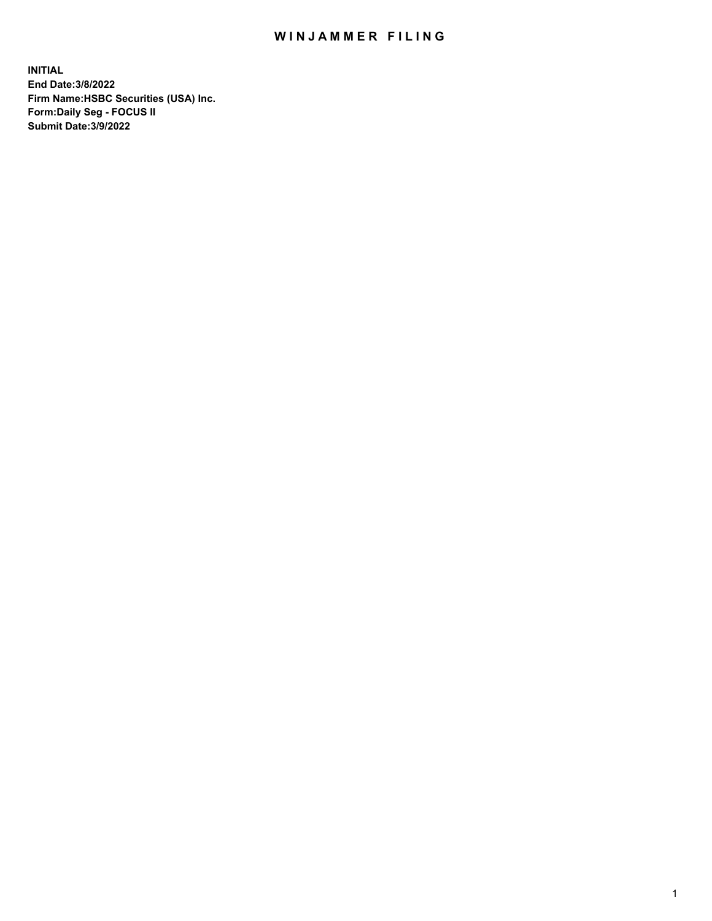## WIN JAMMER FILING

**INITIAL End Date:3/8/2022 Firm Name:HSBC Securities (USA) Inc. Form:Daily Seg - FOCUS II Submit Date:3/9/2022**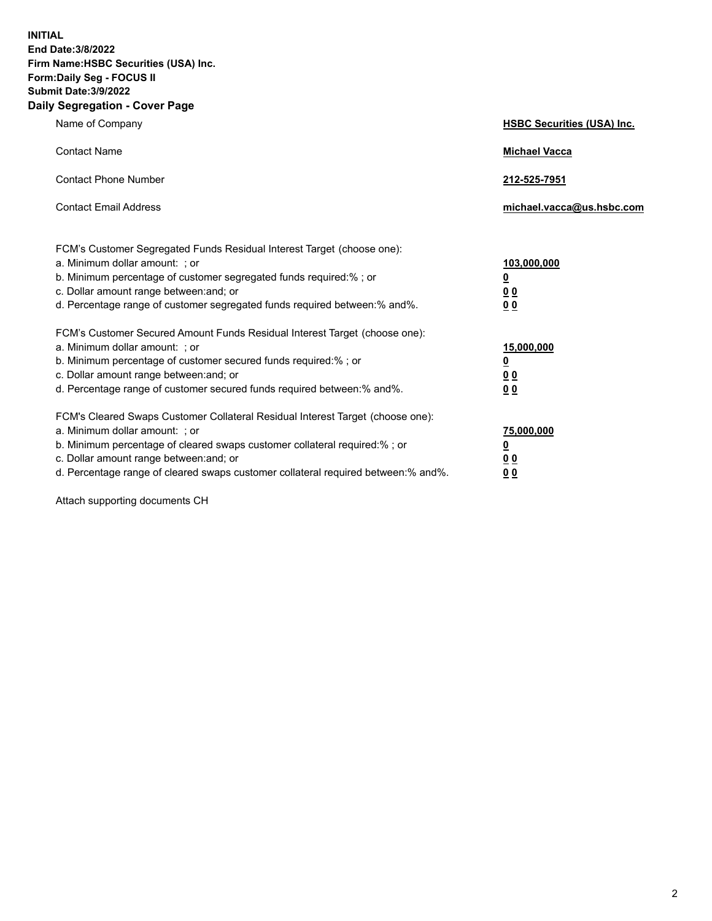**INITIAL End Date:3/8/2022 Firm Name:HSBC Securities (USA) Inc. Form:Daily Seg - FOCUS II Submit Date:3/9/2022 Daily Segregation - Cover Page**

| Name of Company                                                                                                                                                                                                                                                                                                                | <b>HSBC Securities (USA) Inc.</b>               |
|--------------------------------------------------------------------------------------------------------------------------------------------------------------------------------------------------------------------------------------------------------------------------------------------------------------------------------|-------------------------------------------------|
| <b>Contact Name</b>                                                                                                                                                                                                                                                                                                            | <b>Michael Vacca</b>                            |
| <b>Contact Phone Number</b>                                                                                                                                                                                                                                                                                                    | 212-525-7951                                    |
| <b>Contact Email Address</b>                                                                                                                                                                                                                                                                                                   | michael.vacca@us.hsbc.com                       |
| FCM's Customer Segregated Funds Residual Interest Target (choose one):<br>a. Minimum dollar amount: ; or<br>b. Minimum percentage of customer segregated funds required:%; or<br>c. Dollar amount range between: and; or<br>d. Percentage range of customer segregated funds required between:% and%.                          | 103,000,000<br><u>0</u><br>0 <sub>0</sub><br>00 |
| FCM's Customer Secured Amount Funds Residual Interest Target (choose one):<br>a. Minimum dollar amount: ; or<br>b. Minimum percentage of customer secured funds required:%; or<br>c. Dollar amount range between: and; or<br>d. Percentage range of customer secured funds required between:% and%.                            | 15,000,000<br><u>0</u><br>0 <sub>0</sub><br>00  |
| FCM's Cleared Swaps Customer Collateral Residual Interest Target (choose one):<br>a. Minimum dollar amount: ; or<br>b. Minimum percentage of cleared swaps customer collateral required:% ; or<br>c. Dollar amount range between: and; or<br>d. Percentage range of cleared swaps customer collateral required between:% and%. | 75,000,000<br><u>0</u><br><u>00</u><br>00       |

Attach supporting documents CH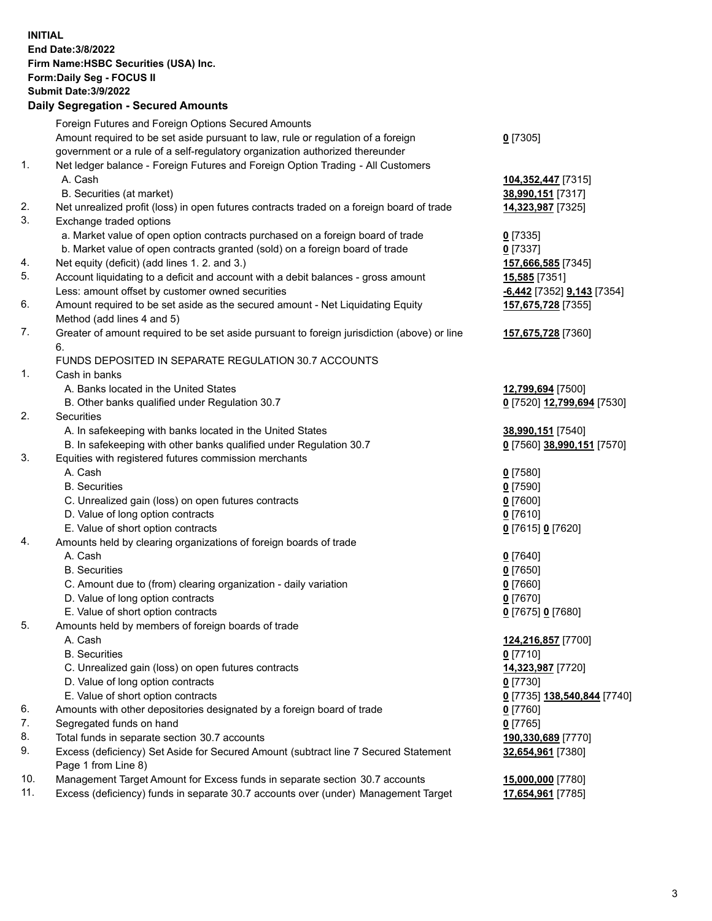**INITIAL End Date:3/8/2022 Firm Name:HSBC Securities (USA) Inc. Form:Daily Seg - FOCUS II Submit Date:3/9/2022 Daily Segregation - Secured Amounts** Foreign Futures and Foreign Options Secured Amounts Amount required to be set aside pursuant to law, rule or regulation of a foreign government or a rule of a self-regulatory organization authorized thereunder **0** [7305] 1. Net ledger balance - Foreign Futures and Foreign Option Trading - All Customers A. Cash **104,352,447** [7315] B. Securities (at market) **38,990,151** [7317] 2. Net unrealized profit (loss) in open futures contracts traded on a foreign board of trade **14,323,987** [7325] 3. Exchange traded options a. Market value of open option contracts purchased on a foreign board of trade **0** [7335] b. Market value of open contracts granted (sold) on a foreign board of trade **0** [7337] 4. Net equity (deficit) (add lines 1. 2. and 3.) **157,666,585** [7345] 5. Account liquidating to a deficit and account with a debit balances - gross amount **15,585** [7351] Less: amount offset by customer owned securities **-6,442** [7352] **9,143** [7354] 6. Amount required to be set aside as the secured amount - Net Liquidating Equity Method (add lines 4 and 5) **157,675,728** [7355] 7. Greater of amount required to be set aside pursuant to foreign jurisdiction (above) or line 6. **157,675,728** [7360] FUNDS DEPOSITED IN SEPARATE REGULATION 30.7 ACCOUNTS 1. Cash in banks A. Banks located in the United States **12,799,694** [7500] B. Other banks qualified under Regulation 30.7 **0** [7520] **12,799,694** [7530] 2. Securities A. In safekeeping with banks located in the United States **38,990,151** [7540] B. In safekeeping with other banks qualified under Regulation 30.7 **0** [7560] **38,990,151** [7570] 3. Equities with registered futures commission merchants A. Cash **0** [7580] B. Securities **0** [7590] C. Unrealized gain (loss) on open futures contracts **0** [7600] D. Value of long option contracts **0** [7610] E. Value of short option contracts **0** [7615] **0** [7620] 4. Amounts held by clearing organizations of foreign boards of trade A. Cash **0** [7640] B. Securities **0** [7650] C. Amount due to (from) clearing organization - daily variation **0** [7660] D. Value of long option contracts **0** [7670] E. Value of short option contracts **0** [7675] **0** [7680] 5. Amounts held by members of foreign boards of trade A. Cash **124,216,857** [7700] B. Securities **0** [7710] C. Unrealized gain (loss) on open futures contracts **14,323,987** [7720] D. Value of long option contracts **0** [7730] E. Value of short option contracts **0** [7735] **138,540,844** [7740] 6. Amounts with other depositories designated by a foreign board of trade **0** [7760] 7. Segregated funds on hand **0** [7765] 8. Total funds in separate section 30.7 accounts **190,330,689** [7770] 9. Excess (deficiency) Set Aside for Secured Amount (subtract line 7 Secured Statement Page 1 from Line 8) **32,654,961** [7380] 10. Management Target Amount for Excess funds in separate section 30.7 accounts **15,000,000** [7780] 11. Excess (deficiency) funds in separate 30.7 accounts over (under) Management Target **17,654,961** [7785]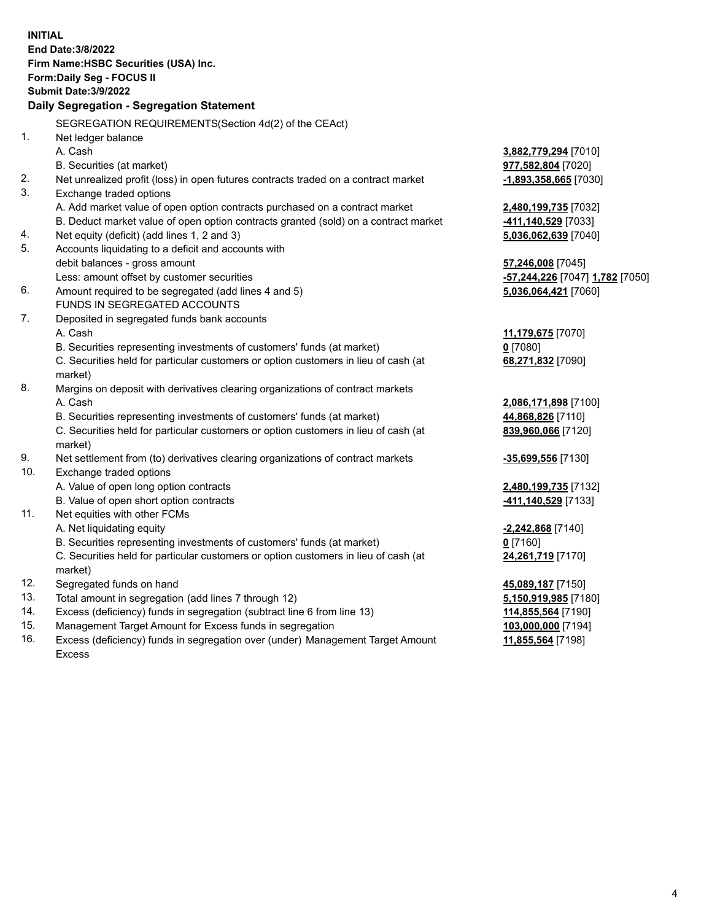|            | <b>INITIAL</b><br>End Date: 3/8/2022                                                |                                 |
|------------|-------------------------------------------------------------------------------------|---------------------------------|
|            | Firm Name: HSBC Securities (USA) Inc.                                               |                                 |
|            | Form: Daily Seg - FOCUS II                                                          |                                 |
|            | <b>Submit Date: 3/9/2022</b>                                                        |                                 |
|            | Daily Segregation - Segregation Statement                                           |                                 |
|            | SEGREGATION REQUIREMENTS(Section 4d(2) of the CEAct)                                |                                 |
| 1.         | Net ledger balance                                                                  |                                 |
|            | A. Cash                                                                             | 3,882,779,294 [7010]            |
|            | B. Securities (at market)                                                           | 977,582,804 [7020]              |
| 2.         | Net unrealized profit (loss) in open futures contracts traded on a contract market  | $-1,893,358,665$ [7030]         |
| 3.         | Exchange traded options                                                             |                                 |
|            | A. Add market value of open option contracts purchased on a contract market         | 2,480,199,735 [7032]            |
|            | B. Deduct market value of open option contracts granted (sold) on a contract market | -411,140,529 [7033]             |
| 4.         | Net equity (deficit) (add lines 1, 2 and 3)                                         | 5,036,062,639 [7040]            |
| 5.         | Accounts liquidating to a deficit and accounts with                                 |                                 |
|            | debit balances - gross amount                                                       | 57,246,008 [7045]               |
|            | Less: amount offset by customer securities                                          | -57,244,226 [7047] 1,782 [7050] |
| 6.         | Amount required to be segregated (add lines 4 and 5)                                | 5,036,064,421 [7060]            |
|            | FUNDS IN SEGREGATED ACCOUNTS                                                        |                                 |
| 7.         | Deposited in segregated funds bank accounts                                         |                                 |
|            | A. Cash                                                                             | 11,179,675 [7070]               |
|            | B. Securities representing investments of customers' funds (at market)              | $0$ [7080]                      |
|            | C. Securities held for particular customers or option customers in lieu of cash (at | 68,271,832 [7090]               |
|            | market)                                                                             |                                 |
| 8.         | Margins on deposit with derivatives clearing organizations of contract markets      |                                 |
|            | A. Cash                                                                             | 2,086,171,898 [7100]            |
|            | B. Securities representing investments of customers' funds (at market)              | 44,868,826 [7110]               |
|            | C. Securities held for particular customers or option customers in lieu of cash (at | 839,960,066 [7120]              |
|            | market)                                                                             |                                 |
| 9.         | Net settlement from (to) derivatives clearing organizations of contract markets     | -35,699,556 [7130]              |
| 10.        | Exchange traded options                                                             |                                 |
|            | A. Value of open long option contracts                                              | 2,480,199,735 [7132]            |
|            | B. Value of open short option contracts                                             | -411,140,529 [7133]             |
| 11.        | Net equities with other FCMs                                                        |                                 |
|            | A. Net liquidating equity                                                           | -2,242,868 [7140]               |
|            | B. Securities representing investments of customers' funds (at market)              | $0$ [7160]                      |
|            | C. Securities held for particular customers or option customers in lieu of cash (at | 24,261,719 [7170]               |
|            | market)                                                                             |                                 |
| 12.        | Segregated funds on hand                                                            | 45,089,187 [7150]               |
| 13.<br>14. | Total amount in segregation (add lines 7 through 12)                                | 5,150,919,985 [7180]            |
| 15.        | Excess (deficiency) funds in segregation (subtract line 6 from line 13)             | 114,855,564 [7190]              |
| 16.        | Management Target Amount for Excess funds in segregation                            | 103,000,000 [7194]              |
|            | Excess (deficiency) funds in segregation over (under) Management Target Amount      | 11,855,564 [7198]               |

16. Excess (deficiency) funds in segregation over (under) Management Target Amount Excess